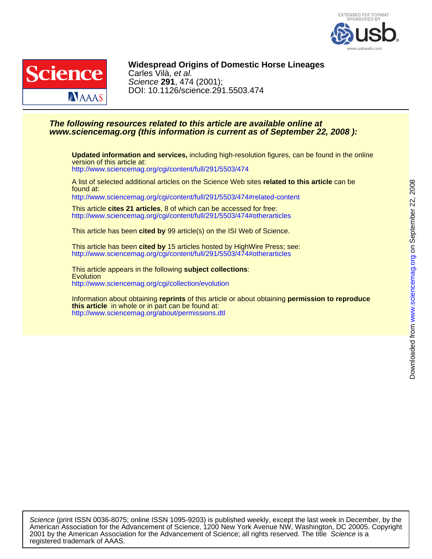



# DOI: 10.1126/science.291.5503.474 Science **291**, 474 (2001); Carles Vilà, et al. **Widespread Origins of Domestic Horse Lineages**

## **www.sciencemag.org (this information is current as of September 22, 2008 ): The following resources related to this article are available online at**

version of this article at: **Updated information and services,** including high-resolution figures, can be found in the online

<http://www.sciencemag.org/cgi/content/full/291/5503/474>

found at: A list of selected additional articles on the Science Web sites **related to this article** can be <http://www.sciencemag.org/cgi/content/full/291/5503/474#related-content>

<http://www.sciencemag.org/cgi/content/full/291/5503/474#otherarticles> This article **cites 21 articles**, 8 of which can be accessed for free:

This article has been **cited by** 99 article(s) on the ISI Web of Science.

<http://www.sciencemag.org/cgi/content/full/291/5503/474#otherarticles> This article has been **cited by** 15 articles hosted by HighWire Press; see:

<http://www.sciencemag.org/cgi/collection/evolution> **Evolution** This article appears in the following **subject collections**:

<http://www.sciencemag.org/about/permissions.dtl> **this article** in whole or in part can be found at: Information about obtaining **reprints** of this article or about obtaining **permission to reproduce**

registered trademark of AAAS. 2001 by the American Association for the Advancement of Science; all rights reserved. The title Science is a American Association for the Advancement of Science, 1200 New York Avenue NW, Washington, DC 20005. Copyright Science (print ISSN 0036-8075; online ISSN 1095-9203) is published weekly, except the last week in December, by the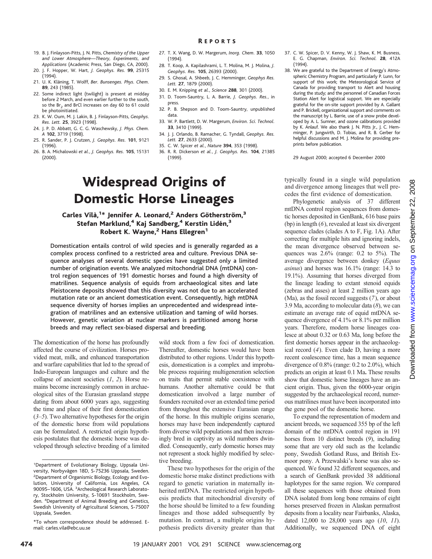- 19. B. J. Finlayson-Pitts, J. N. Pitts, *Chemistry of the Upper and Lower Atmosphere—Theory, Experiments, and Applications* (Academic Press, San Diego, CA, 2000).
- 20. J. F. Hopper, W. Hart, *J. Geophys. Res.* **99**, 25315 (1994).
- 21. U. K. Kläning, T. Wolff, *Ber. Bunsenges. Phys. Chem.* **89**, 243 (1985).
- 22. Some indirect light (twilight) is present at midday before 2 March, and even earlier further to the south, so the  $Br_2$  and BrCl increases on day 60 to 61 could be photoinitiated.
- 23. K. W. Oum, M. J. Lakin, B. J. Finlayson-Pitts, *Geophys. Res. Lett.* **25**, 3923 (1998).
- 24. J. P. D. Abbatt, G. C. G. Waschewsky, *J. Phys. Chem. A* **102**, 3719 (1998).
- 25. R. Sander, P. J. Crutzen, *J. Geophys. Res.* **101**, 9121 (1996).
- 26. B. A. Michalowski *et al.*, *J. Geophys. Res.* **105**, 15131 (2000).
- 27. T. X. Wang, D. W. Margerum, *Inorg. Chem.* **33**, 1050 (1994).
- 28. T. Koop, A. Kapilashrami, L. T. Molina, M. J. Molina, *J. Geophys. Res.* **105**, 26393 (2000).
- 29. S. Ghosal, A. Shbeeb, J. C. Hemminger, *Geophys Res. Lett.* **27**, 1879 (2000).
- 30. E. M. Knipping *et al.*, *Science* **288**, 301 (2000).
- 31. D. Toom-Sauntry, L. A. Barrie, *J. Geophys. Res.*, in press.
- 32. P. B. Shepson and D. Toom-Sauntry, unpublished data.
- 33. W. P. Bartlett, D. W. Margerum, *Environ. Sci. Technol.* **33**, 3410 (1999).
- 34. J. J. Orlando, B. Ramacher, G. Tyndall, *Geophys. Res. Lett.* **27**, 2633 (2000).
- 35. C. W. Spicer *et al.*, *Nature* **394**, 353 (1998).
- 36. R. R. Dickerson *et al.*, *J. Geophys. Res.* **104**, 21385 (1999).

# Widespread Origins of Domestic Horse Lineages

### Carles Vilà,<sup>1\*</sup> Jennifer A. Leonard,<sup>2</sup> Anders Götherström,<sup>3</sup> Stefan Marklund,<sup>4</sup> Kaj Sandberg,<sup>4</sup> Kerstin Lidén,<sup>3</sup> Robert K. Wayne,<sup>2</sup> Hans Ellegren<sup>1</sup>

Domestication entails control of wild species and is generally regarded as a complex process confined to a restricted area and culture. Previous DNA sequence analyses of several domestic species have suggested only a limited number of origination events. We analyzed mitochondrial DNA (mtDNA) control region sequences of 191 domestic horses and found a high diversity of matrilines. Sequence analysis of equids from archaeological sites and late Pleistocene deposits showed that this diversity was not due to an accelerated mutation rate or an ancient domestication event. Consequently, high mtDNA sequence diversity of horses implies an unprecedented and widespread integration of matrilines and an extensive utilization and taming of wild horses. However, genetic variation at nuclear markers is partitioned among horse breeds and may reflect sex-biased dispersal and breeding.

The domestication of the horse has profoundly affected the course of civilization. Horses provided meat, milk, and enhanced transportation and warfare capabilities that led to the spread of Indo-European languages and culture and the collapse of ancient societies (*1*, *2*). Horse remains become increasingly common in archaeological sites of the Eurasian grassland steppe dating from about 6000 years ago, suggesting the time and place of their first domestication (*3–5*). Two alternative hypotheses for the origin of the domestic horse from wild populations can be formulated. A restricted origin hypothesis postulates that the domestic horse was developed through selective breeding of a limited

wild stock from a few foci of domestication. Thereafter, domestic horses would have been distributed to other regions. Under this hypothesis, domestication is a complex and improbable process requiring multigeneration selection on traits that permit stable coexistence with humans. Another alternative could be that domestication involved a large number of founders recruited over an extended time period from throughout the extensive Eurasian range of the horse. In this multiple origins scenario, horses may have been independently captured from diverse wild populations and then increasingly bred in captivity as wild numbers dwindled. Consequently, early domestic horses may not represent a stock highly modified by selective breeding.

These two hypotheses for the origin of the domestic horse make distinct predictions with regard to genetic variation in maternally inherited mtDNA. The restricted origin hypothesis predicts that mitochondrial diversity of the horse should be limited to a few founding lineages and those added subsequently by mutation. In contrast, a multiple origins hypothesis predicts diversity greater than that

38. We are grateful to the Department of Energy's Atmospheric Chemistry Program, and particularly P. Lunn, for support of this work; the Meteorological Service of Canada for providing transport to Alert and housing during the study; and the personnel of Canadian Forces Station Alert for logistical support. We are especially grateful for the on-site support provided by A. Gallant and P. Brickell, organizational support and comments on the manuscript by L. Barrie, use of a snow probe developed by A. L. Sumner, and ozone calibrations provided by K. Anlauf. We also thank J. N. Pitts Jr., J. C. Hemminger, P. Jungwirth, D. Tobias, and R. B. Gerber for helpful discussions and M. J. Molina for providing preprints before publication.

29 August 2000; accepted 6 December 2000

typically found in a single wild population and divergence among lineages that well precedes the first evidence of domestication.

Phylogenetic analysis of 37 different mtDNA control region sequences from domestic horses deposited in GenBank, 616 base pairs (bp) in length (*6*), revealed at least six divergent sequence clades (clades A to F, Fig. 1A). After correcting for multiple hits and ignoring indels, the mean divergence observed between sequences was  $2.6\%$  (range: 0.2 to  $5\%$ ). The average divergence between donkey (*Equus asinus*) and horses was 16.1% (range: 14.3 to 19.1%). Assuming that horses diverged from the lineage leading to extant stenoid equids (zebras and asses) at least 2 million years ago (Ma), as the fossil record suggests (*7*), or about 3.9 Ma, according to molecular data (*8*), we can estimate an average rate of equid mtDNA sequence divergence of 4.1% or 8.1% per million years. Therefore, modern horse lineages coalesce at about 0.32 or 0.63 Ma, long before the first domestic horses appear in the archaeological record (*4*). Even clade D, having a more recent coalescence time, has a mean sequence divergence of 0.8% (range: 0.2 to 2.0%), which predicts an origin at least 0.1 Ma**.** These results show that domestic horse lineages have an ancient origin. Thus, given the 6000-year origin suggested by the archaeological record, numerous matrilines must have been incorporated into the gene pool of the domestic horse.

To expand the representation of modern and ancient breeds, we sequenced 355 bp of the left domain of the mtDNA control region in 191 horses from 10 distinct breeds (*9*), including some that are very old such as the Icelandic pony, Swedish Gotland Russ, and British Exmoor pony. A Przewalski's horse was also sequenced. We found 32 different sequences, and a search of GenBank provided 38 additional haplotypes for the same region. We compared all these sequences with those obtained from DNA isolated from long bone remains of eight horses preserved frozen in Alaskan permafrost deposits from a locality near Fairbanks, Alaska, dated 12,000 to 28,000 years ago (*10*, *11*). Additionally, we sequenced DNA of eight

<sup>&</sup>lt;sup>1</sup>Department of Evolutionary Biology, Uppsala University, Norbyvägen 18D, S-75236 Uppsala, Sweden. 2 Department of Organismic Biology, Ecology and Evolution, University of California, Los Angeles, CA 90095-1606, USA. <sup>3</sup>Archeological Research Laboratory, Stockholm University, S-10691 Stockholm, Sweden. <sup>4</sup> Department of Animal Breeding and Genetics, Swedish University of Agricultural Sciences, S-75007 Uppsala, Sweden.

<sup>\*</sup>To whom correspondence should be addressed. Email: carles.vila@ebc.uu.se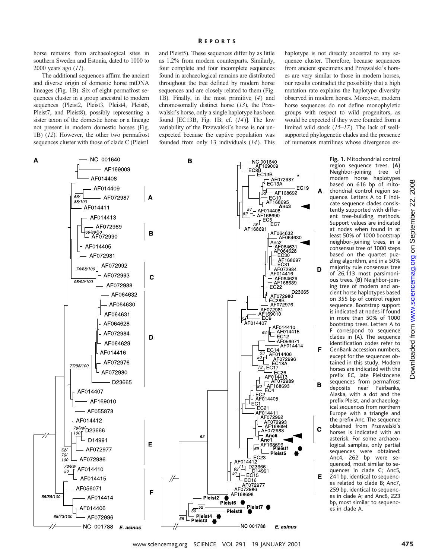# and Pleist5). These sequences differ by as little R EPORTS

as 1.2% from modern counterparts. Similarly, four complete and four incomplete sequences found in archaeological remains are distributed throughout the tree defined by modern horse sequences and are closely related to them (Fig. 1B). Finally, in the most primitive (*4*) and chromosomally distinct horse (*13*), the Przewalski's horse, only a single haplotype has been found [EC13B, Fig. 1B; cf. (*14*)]. The low variability of the Przewalski's horse is not unexpected because the captive population was founded from only 13 individuals (*14*). This

horse remains from archaeological sites in southern Sweden and Estonia, dated to 1000 to 2000 years ago (*11*).

The additional sequences affirm the ancient and diverse origin of domestic horse mtDNA lineages (Fig. 1B). Six of eight permafrost sequences cluster in a group ancestral to modern sequences (Pleist2, Pleist3, Pleist4, Pleist6, Pleist7, and Pleist8), possibly representing a sister taxon of the domestic horse or a lineage not present in modern domestic horses (Fig. 1B) (*12*). However, the other two permafrost sequences cluster with those of clade C (Pleist1

- NC\_001788

A

NC\_001640 B AF169009 AF014408 **A**<br> **A**<br> **A**<br>  $\frac{\sqrt{1-\frac{1}{\sqrt{1-\frac{1}{\sqrt{1-\frac{1}{\sqrt{1-\frac{1}{\sqrt{1-\frac{1}{\sqrt{1-\frac{1}{\sqrt{1-\frac{1}{\sqrt{1-\frac{1}{\sqrt{1-\frac{1}{\sqrt{1-\frac{1}{\sqrt{1-\frac{1}{\sqrt{1-\frac{1}{\sqrt{1-\frac{1}{\sqrt{1-\frac{1}{\sqrt{1-\frac{1}{\sqrt{1-\frac{1}{\sqrt{1-\frac{1}{\sqrt{1-\frac{1}{\sqrt{1-\frac{1}{\sqrt{1-\frac{1}{\sqrt{1-\frac{1}{\sqrt{1-\frac{1}{\sqrt{1-\$ AF014409 66/ AF072987  $88/100$ - AF014411 AF014413 AF072989 66/89/50 AF072990 AF014405 AF072981 AF072992 74/68/100 AF072993 95/99/100 AF072988 AF064631 AF064628 AF072984 AF064629 AF014416 AF072976 77/98/100 AF072980 D23665 AF014407 AF169010 AF055878 AF014412 79/99/<br>100F<br>D23666 D14991 AF072977 521 76/ AF072986 100 73/99 AF014410 50 AF014415 AF056071 55/88/100 AF014414 AF014406 65/73/100 AF072996

haplotype is not directly ancestral to any sequence cluster. Therefore, because sequences from ancient specimens and Przewalski's horses are very similar to those in modern horses, our results contradict the possibility that a high mutation rate explains the haplotype diversity observed in modern horses. Moreover, modern horse sequences do not define monophyletic groups with respect to wild progenitors, as would be expected if they were founded from a limited wild stock (*15–17*). The lack of wellsupported phylogenetic clades and the presence of numerous matrilines whose divergence ex-

> **Fig. 1.** Mitochondrial control region sequence trees. (**A**) Neighbor-joining tree of modern horse haplotypes based on 616 bp of mitochondrial control region sequence. Letters A to F indicate sequence clades consistently supported with different tree-building methods. Support values are indicated at nodes when found in at least 50% of 1000 bootstrap neighbor-joining trees, in a consensus tree of 1000 steps based on the quartet puzzling algorithm, and in a 50% majority rule consensus tree of 26,113 most parsimonious trees. (**B**) Neighbor-joining tree of modern and ancient horse haplotypes based on 355 bp of control region sequence. Bootstrap support is indicated at nodes if found in more than 50% of 1000 bootstrap trees. Letters A to F correspond to sequence clades in (A). The sequence identification codes refer to GenBank accession numbers, except for the sequences obtained in this study. Modern horses are indicated with the prefix EC, late Pleistocene sequences from permafrost<br>deposits near Fairbanks, deposits near Alaska, with a dot and the prefix Pleist, and archaeological sequences from northern Europe with a triangle and the prefix Anc. The sequence obtained from Przewalski's horses is indicated with an asterisk. For some archaeological samples, only partial sequences were obtained: Anc4, 262 bp were sequenced, most similar to sequences in clade C; Anc5, 241 bp, identical to sequences related to clade B; Anc7, 259 bp, identical to sequences in clade A; and Anc8, 223 bp, most similar to sequenc-

es in clade A.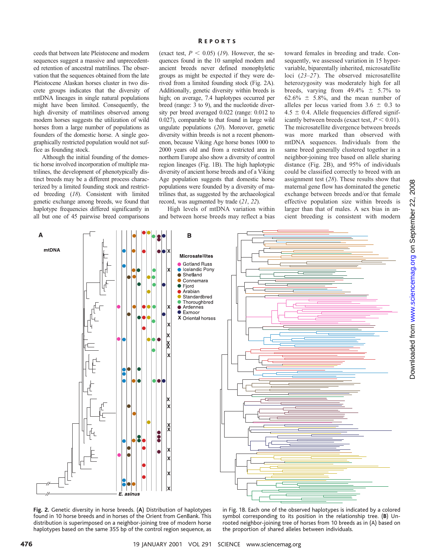ceeds that between late Pleistocene and modern sequences suggest a massive and unprecedented retention of ancestral matrilines. The observation that the sequences obtained from the late Pleistocene Alaskan horses cluster in two discrete groups indicates that the diversity of mtDNA lineages in single natural populations might have been limited. Consequently, the high diversity of matrilines observed among modern horses suggests the utilization of wild horses from a large number of populations as founders of the domestic horse. A single geographically restricted population would not suffice as founding stock.

Although the initial founding of the domestic horse involved incorporation of multiple matrilines, the development of phenotypically distinct breeds may be a different process characterized by a limited founding stock and restricted breeding (*18*). Consistent with limited genetic exchange among breeds, we found that haplotype frequencies differed significantly in all but one of 45 pairwise breed comparisons

### R EPORTS

(exact test,  $P < 0.05$ ) (19). However, the sequences found in the 10 sampled modern and ancient breeds never defined monophyletic groups as might be expected if they were derived from a limited founding stock (Fig. 2A). Additionally, genetic diversity within breeds is high; on average, 7.4 haplotypes occurred per breed (range: 3 to 9), and the nucleotide diversity per breed averaged 0.022 (range: 0.012 to 0.027), comparable to that found in large wild ungulate populations (*20*). Moreover, genetic diversity within breeds is not a recent phenomenon, because Viking Age horse bones 1000 to 2000 years old and from a restricted area in northern Europe also show a diversity of control region lineages (Fig. 1B). The high haplotypic diversity of ancient horse breeds and of a Viking Age population suggests that domestic horse populations were founded by a diversity of matrilines that, as suggested by the archaeological record, was augmented by trade (*21*, *22*).

High levels of mtDNA variation within and between horse breeds may reflect a bias

toward females in breeding and trade. Consequently, we assessed variation in 15 hypervariable, biparentally inherited, microsatellite loci (*23–27*). The observed microsatellite heterozygosity was moderately high for all breeds, varying from  $49.4\% \pm 5.7\%$  to  $62.6\% \pm 5.8\%$ , and the mean number of alleles per locus varied from  $3.6 \pm 0.3$  to  $4.5 \pm 0.4$ . Allele frequencies differed significantly between breeds (exact test,  $P < 0.01$ ). The microsatellite divergence between breeds was more marked than observed with mtDNA sequences. Individuals from the same breed generally clustered together in a neighbor-joining tree based on allele sharing distance (Fig. 2B), and 95% of individuals could be classified correctly to breed with an assignment test (*28*). These results show that maternal gene flow has dominated the genetic exchange between breeds and/or that female effective population size within breeds is larger than that of males. A sex bias in ancient breeding is consistent with modern



**Fig. 2.** Genetic diversity in horse breeds. (**A**) Distribution of haplotypes found in 10 horse breeds and in horses of the Orient from GenBank. This distribution is superimposed on a neighbor-joining tree of modern horse haplotypes based on the same 355 bp of the control region sequence, as

in Fig. 1B. Each one of the observed haplotypes is indicated by a colored symbol corresponding to its position in the relationship tree. (**B**) Unrooted neighbor-joining tree of horses from 10 breeds as in (A) based on the proportion of shared alleles between individuals.